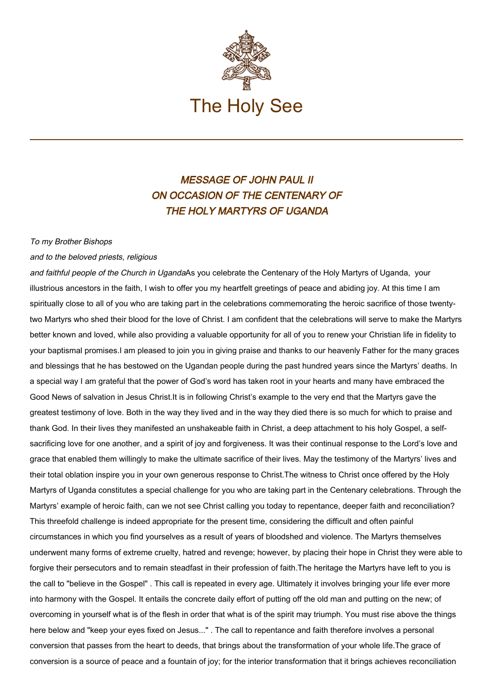

## MESSAGE OF JOHN PAUL II ON OCCASION OF THE CENTENARY OF THE HOLY MARTYRS OF UGANDA

## To my Brother Bishops

## and to the beloved priests, religious

and faithful people of the Church in UgandaAs you celebrate the Centenary of the Holy Martyrs of Uganda, your illustrious ancestors in the faith, I wish to offer you my heartfelt greetings of peace and abiding joy. At this time I am spiritually close to all of you who are taking part in the celebrations commemorating the heroic sacrifice of those twentytwo Martyrs who shed their blood for the love of Christ. I am confident that the celebrations will serve to make the Martyrs better known and loved, while also providing a valuable opportunity for all of you to renew your Christian life in fidelity to your baptismal promises.I am pleased to join you in giving praise and thanks to our heavenly Father for the many graces and blessings that he has bestowed on the Ugandan people during the past hundred years since the Martyrs' deaths. In a special way I am grateful that the power of God's word has taken root in your hearts and many have embraced the Good News of salvation in Jesus Christ.It is in following Christ's example to the very end that the Martyrs gave the greatest testimony of love. Both in the way they lived and in the way they died there is so much for which to praise and thank God. In their lives they manifested an unshakeable faith in Christ, a deep attachment to his holy Gospel, a selfsacrificing love for one another, and a spirit of joy and forgiveness. It was their continual response to the Lord's love and grace that enabled them willingly to make the ultimate sacrifice of their lives. May the testimony of the Martyrs' lives and their total oblation inspire you in your own generous response to Christ.The witness to Christ once offered by the Holy Martyrs of Uganda constitutes a special challenge for you who are taking part in the Centenary celebrations. Through the Martyrs' example of heroic faith, can we not see Christ calling you today to repentance, deeper faith and reconciliation? This threefold challenge is indeed appropriate for the present time, considering the difficult and often painful circumstances in which you find yourselves as a result of years of bloodshed and violence. The Martyrs themselves underwent many forms of extreme cruelty, hatred and revenge; however, by placing their hope in Christ they were able to forgive their persecutors and to remain steadfast in their profession of faith.The heritage the Martyrs have left to you is the call to "believe in the Gospel" . This call is repeated in every age. Ultimately it involves bringing your life ever more into harmony with the Gospel. It entails the concrete daily effort of putting off the old man and putting on the new; of overcoming in yourself what is of the flesh in order that what is of the spirit may triumph. You must rise above the things here below and "keep your eyes fixed on Jesus..." . The call to repentance and faith therefore involves a personal conversion that passes from the heart to deeds, that brings about the transformation of your whole life.The grace of conversion is a source of peace and a fountain of joy; for the interior transformation that it brings achieves reconciliation